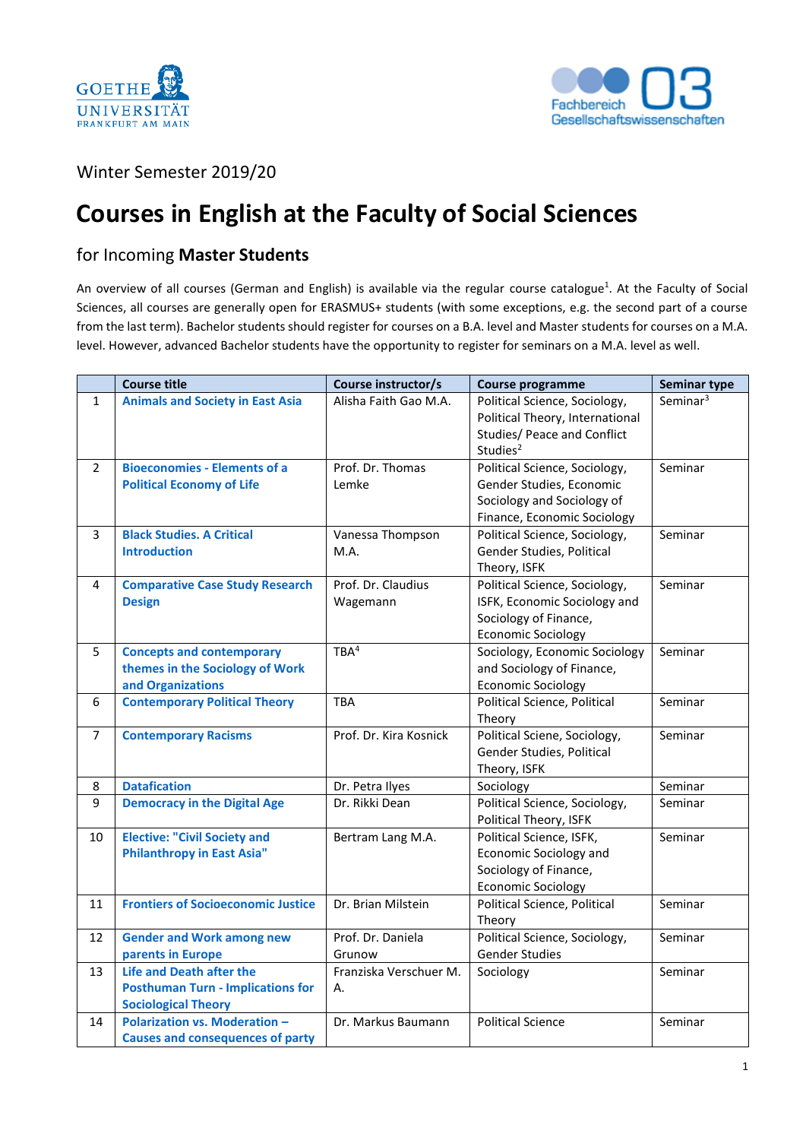



## Winter Semester 2019/20

## **Courses in English at the Faculty of Social Sciences**

## for Incoming **Master Students**

An overview of all courses (German and English) is available via the regular course catalogue<sup>1</sup>. At the Faculty of Social Sciences, all courses are generally open for ERASMUS+ students (with some exceptions, e.g. the second part of a course from the last term). Bachelor students should register for courses on a B.A. level and Master students for courses on a M.A. level. However, advanced Bachelor students have the opportunity to register for seminars on a M.A. level as well.

|                | <b>Course title</b>                                                                                       | Course instructor/s            | <b>Course programme</b>                                                                                                 | <b>Seminar type</b>  |
|----------------|-----------------------------------------------------------------------------------------------------------|--------------------------------|-------------------------------------------------------------------------------------------------------------------------|----------------------|
| $\mathbf{1}$   | <b>Animals and Society in East Asia</b>                                                                   | Alisha Faith Gao M.A.          | Political Science, Sociology,<br>Political Theory, International<br>Studies/ Peace and Conflict<br>Studies <sup>2</sup> | Seminar <sup>3</sup> |
| $\overline{2}$ | <b>Bioeconomies - Elements of a</b><br><b>Political Economy of Life</b>                                   | Prof. Dr. Thomas<br>Lemke      | Political Science, Sociology,<br>Gender Studies, Economic<br>Sociology and Sociology of<br>Finance, Economic Sociology  | Seminar              |
| 3              | <b>Black Studies. A Critical</b><br><b>Introduction</b>                                                   | Vanessa Thompson<br>M.A.       | Political Science, Sociology,<br>Gender Studies, Political<br>Theory, ISFK                                              | Seminar              |
| 4              | <b>Comparative Case Study Research</b><br><b>Design</b>                                                   | Prof. Dr. Claudius<br>Wagemann | Political Science, Sociology,<br>ISFK, Economic Sociology and<br>Sociology of Finance,<br><b>Economic Sociology</b>     | Seminar              |
| 5              | <b>Concepts and contemporary</b><br>themes in the Sociology of Work<br>and Organizations                  | TBA <sup>4</sup>               | Sociology, Economic Sociology<br>and Sociology of Finance,<br><b>Economic Sociology</b>                                 | Seminar              |
| 6              | <b>Contemporary Political Theory</b>                                                                      | <b>TBA</b>                     | Political Science, Political<br>Theory                                                                                  | Seminar              |
| $\overline{7}$ | <b>Contemporary Racisms</b>                                                                               | Prof. Dr. Kira Kosnick         | Political Sciene, Sociology,<br>Gender Studies, Political<br>Theory, ISFK                                               | Seminar              |
| 8              | <b>Datafication</b>                                                                                       | Dr. Petra Ilyes                | Sociology                                                                                                               | Seminar              |
| 9              | <b>Democracy in the Digital Age</b>                                                                       | Dr. Rikki Dean                 | Political Science, Sociology,<br>Political Theory, ISFK                                                                 | Seminar              |
| 10             | <b>Elective: "Civil Society and</b><br><b>Philanthropy in East Asia"</b>                                  | Bertram Lang M.A.              | Political Science, ISFK,<br><b>Economic Sociology and</b><br>Sociology of Finance,<br><b>Economic Sociology</b>         | Seminar              |
| 11             | <b>Frontiers of Socioeconomic Justice</b>                                                                 | Dr. Brian Milstein             | Political Science, Political<br>Theory                                                                                  | Seminar              |
| 12             | <b>Gender and Work among new</b><br>parents in Europe                                                     | Prof. Dr. Daniela<br>Grunow    | Political Science, Sociology,<br><b>Gender Studies</b>                                                                  | Seminar              |
| 13             | <b>Life and Death after the</b><br><b>Posthuman Turn - Implications for</b><br><b>Sociological Theory</b> | Franziska Verschuer M.<br>А.   | Sociology                                                                                                               | Seminar              |
| 14             | <b>Polarization vs. Moderation -</b><br><b>Causes and consequences of party</b>                           | Dr. Markus Baumann             | <b>Political Science</b>                                                                                                | Seminar              |